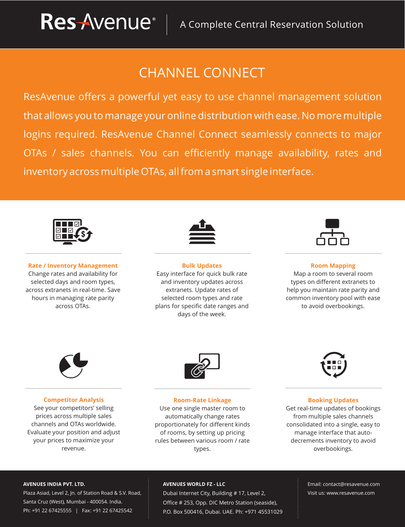## CHANNEL CONNECT

ResAvenue offers a powerful yet easy to use channel management solution that allows you to manage your online distribution with ease. No more multiple logins required. ResAvenue Channel Connect seamlessly connects to major OTAs / sales channels. You can efficiently manage availability, rates and inventory across multiple OTAs, all from a smart single interface.



**Rate / Inventory Management** Change rates and availability for selected days and room types, across extranets in real-time. Save hours in managing rate parity across OTAs.



**Bulk Updates** Easy interface for quick bulk rate and inventory updates across extranets. Update rates of selected room types and rate plans for specific date ranges and days of the week.



**Room Mapping** Map a room to several room types on different extranets to help you maintain rate parity and common inventory pool with ease to avoid overbookings.



#### **Competitor Analysis**

See your competitors' selling prices across multiple sales channels and OTAs worldwide. Evaluate your position and adjust your prices to maximize your revenue.



**Room-Rate Linkage** Use one single master room to automatically change rates proportionately for different kinds of rooms, by setting up pricing rules between various room / rate types.



#### **Booking Updates**

Get real-time updates of bookings from multiple sales channels consolidated into a single, easy to manage interface that autodecrements inventory to avoid overbookings.

#### **AVENUES INDIA PVT. LTD.**

Plaza Asiad, Level 2, Jn. of Station Road & S.V. Road, Santa Cruz (West), Mumbai - 400054. India. Ph: +91 22 67425555 | Fax: +91 22 67425542

#### **AVENUES WORLD FZ - LLC**

Dubai Internet City, Building # 17, Level 2, Office # 253, Opp. DIC Metro Station (seaside), P.O. Box 500416, Dubai. UAE. Ph: +971 45531029 Email: contact@resavenue.com Visit us: www.resavenue.com